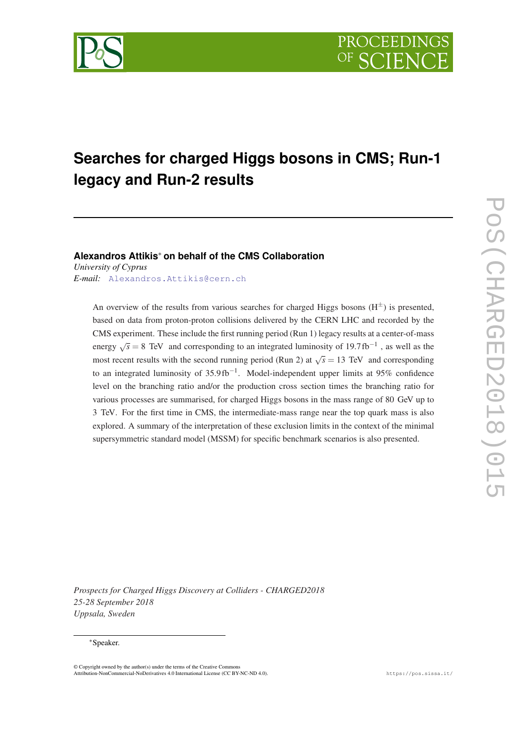



# **Searches for charged Higgs bosons in CMS; Run-1 legacy and Run-2 results**

**Alexandros Attikis**\* **on behalf of the CMS Collaboration**

*University of Cyprus E-mail:* [Alexandros.Attikis@cern.ch](mailto: Alexandros.Attikis@cern.ch)

> An overview of the results from various searches for charged Higgs bosons  $(H^{\pm})$  is presented, based on data from proton-proton collisions delivered by the CERN LHC and recorded by the CMS experiment. These include the first running period (Run 1) legacy results at a center-of-mass energy  $\sqrt{s}$  = 8 TeV and corresponding to an integrated luminosity of 19.7 fb<sup>-1</sup>, as well as the most recent results with the second running period (Run 2) at  $\sqrt{s} = 13$  TeV and corresponding to an integrated luminosity of  $35.9 \text{ fb}^{-1}$ . Model-independent upper limits at 95% confidence level on the branching ratio and/or the production cross section times the branching ratio for various processes are summarised, for charged Higgs bosons in the mass range of 80 GeV up to 3 TeV. For the first time in CMS, the intermediate-mass range near the top quark mass is also explored. A summary of the interpretation of these exclusion limits in the context of the minimal supersymmetric standard model (MSSM) for specific benchmark scenarios is also presented.

*Prospects for Charged Higgs Discovery at Colliders - CHARGED2018 25-28 September 2018 Uppsala, Sweden*

#### \*Speaker.

<sup>©</sup> Copyright owned by the author(s) under the terms of the Creative Commons Attribution-NonCommercial-NoDerivatives 4.0 International License (CC BY-NC-ND 4.0). https://pos.sissa.it/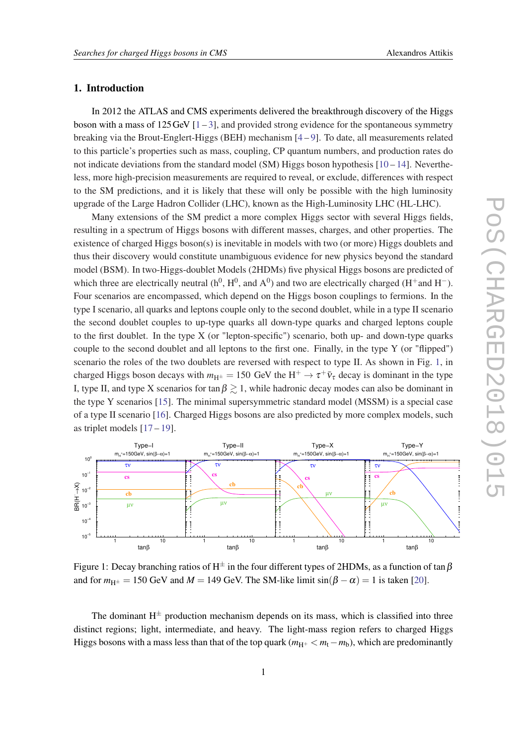## 1. Introduction

In 2012 the ATLAS and CMS experiments delivered the breakthrough discovery of the Higgs boson with a mass of  $125 \text{ GeV}$  [\[1](#page-7-0)-[3](#page-7-0)], and provided strong evidence for the spontaneous symmetry breaking via the Brout-Englert-Higgs (BEH) mechanism  $[4-9]$  $[4-9]$  $[4-9]$  $[4-9]$ . To date, all measurements related to this particle's properties such as mass, coupling, CP quantum numbers, and production rates do not indicate deviations from the standard model (SM) Higgs boson hypothesis  $[10-14]$  $[10-14]$  $[10-14]$  $[10-14]$ . Nevertheless, more high-precision measurements are required to reveal, or exclude, differences with respect to the SM predictions, and it is likely that these will only be possible with the high luminosity upgrade of the Large Hadron Collider (LHC), known as the High-Luminosity LHC (HL-LHC).

Many extensions of the SM predict a more complex Higgs sector with several Higgs fields, resulting in a spectrum of Higgs bosons with different masses, charges, and other properties. The existence of charged Higgs boson(s) is inevitable in models with two (or more) Higgs doublets and thus their discovery would constitute unambiguous evidence for new physics beyond the standard model (BSM). In two-Higgs-doublet Models (2HDMs) five physical Higgs bosons are predicted of which three are electrically neutral ( $h^0$ ,  $H^0$ , and  $A^0$ ) and two are electrically charged ( $H^+$ and  $H^-$ ). Four scenarios are encompassed, which depend on the Higgs boson couplings to fermions. In the type I scenario, all quarks and leptons couple only to the second doublet, while in a type II scenario the second doublet couples to up-type quarks all down-type quarks and charged leptons couple to the first doublet. In the type X (or "lepton-specific") scenario, both up- and down-type quarks couple to the second doublet and all leptons to the first one. Finally, in the type Y (or "flipped") scenario the roles of the two doublets are reversed with respect to type II. As shown in Fig. 1, in charged Higgs boson decays with  $m_{H^{\pm}} = 150$  GeV the  $H^+ \to \tau^+ \bar{\nu}_{\tau}$  decay is dominant in the type I, type II, and type X scenarios for tan  $\beta \gtrsim 1$ , while hadronic decay modes can also be dominant in the type Y scenarios [[15\]](#page-8-0). The minimal supersymmetric standard model (MSSM) is a special case of a type II scenario [\[16](#page-8-0)]. Charged Higgs bosons are also predicted by more complex models, such as triplet models  $[17-19]$  $[17-19]$  $[17-19]$  $[17-19]$ .



Figure 1: Decay branching ratios of H<sup> $\pm$ </sup> in the four different types of 2HDMs, as a function of tan  $\beta$ and for  $m_{H^{\pm}} = 150$  GeV and  $M = 149$  GeV. The SM-like limit  $sin(\beta - \alpha) = 1$  is taken [[20\]](#page-8-0).

The dominant  $H^{\pm}$  production mechanism depends on its mass, which is classified into three distinct regions; light, intermediate, and heavy. The light-mass region refers to charged Higgs Higgs bosons with a mass less than that of the top quark ( $m_{\text{H}^+} < m_{\text{t}} - m_{\text{b}}$ ), which are predominantly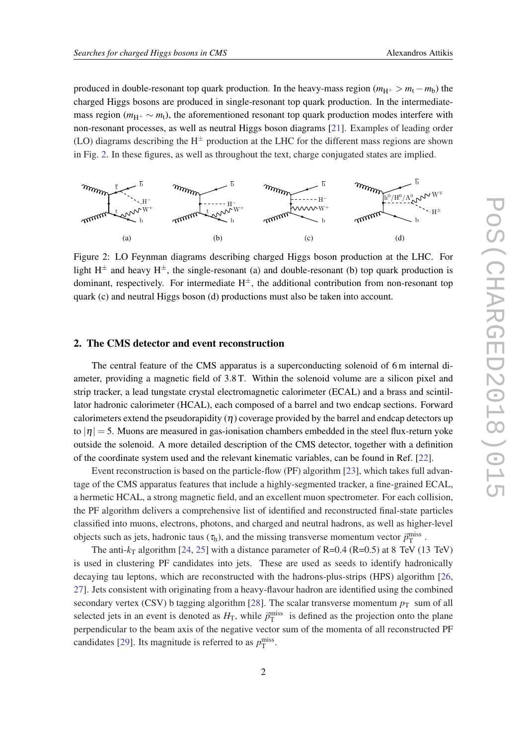produced in double-resonant top quark production. In the heavy-mass region  $(m_{H^+} > m_t - m_b)$  the charged Higgs bosons are produced in single-resonant top quark production. In the intermediatemass region ( $m_{\text{H}+} \sim m_1$ ), the aforementioned resonant top quark production modes interfere with non-resonant processes, as well as neutral Higgs boson diagrams [\[21](#page-8-0)]. Examples of leading order (LO) diagrams describing the  $H^{\pm}$  production at the LHC for the different mass regions are shown in Fig. 2. In these figures, as well as throughout the text, charge conjugated states are implied.



Figure 2: LO Feynman diagrams describing charged Higgs boson production at the LHC. For light  $H^{\pm}$  and heavy  $H^{\pm}$ , the single-resonant (a) and double-resonant (b) top quark production is dominant, respectively. For intermediate  $H^{\pm}$ , the additional contribution from non-resonant top quark (c) and neutral Higgs boson (d) productions must also be taken into account.

### 2. The CMS detector and event reconstruction

The central feature of the CMS apparatus is a superconducting solenoid of 6 m internal diameter, providing a magnetic field of 3.8 T. Within the solenoid volume are a silicon pixel and strip tracker, a lead tungstate crystal electromagnetic calorimeter (ECAL) and a brass and scintillator hadronic calorimeter (HCAL), each composed of a barrel and two endcap sections. Forward calorimeters extend the pseudorapidity  $(\eta)$  coverage provided by the barrel and endcap detectors up to  $|\eta| = 5$ . Muons are measured in gas-ionisation chambers embedded in the steel flux-return yoke outside the solenoid. A more detailed description of the CMS detector, together with a definition of the coordinate system used and the relevant kinematic variables, can be found in Ref. [\[22\]](#page-8-0).

Event reconstruction is based on the particle-flow (PF) algorithm [\[23](#page-8-0)], which takes full advantage of the CMS apparatus features that include a highly-segmented tracker, a fine-grained ECAL, a hermetic HCAL, a strong magnetic field, and an excellent muon spectrometer. For each collision, the PF algorithm delivers a comprehensive list of identified and reconstructed final-state particles classified into muons, electrons, photons, and charged and neutral hadrons, as well as higher-level objects such as jets, hadronic taus ( $\tau_h$ ), and the missing transverse momentum vector  $\vec{p}_T^{\text{miss}}$ .

The anti- $k_T$  algorithm [\[24,](#page-8-0) [25](#page-8-0)] with a distance parameter of R=0.4 (R=0.5) at 8 TeV (13 TeV) is used in clustering PF candidates into jets. These are used as seeds to identify hadronically decaying tau leptons, which are reconstructed with the hadrons-plus-strips (HPS) algorithm [\[26](#page-8-0), [27](#page-8-0)]. Jets consistent with originating from a heavy-flavour hadron are identified using the combined secondary vertex (CSV) b tagging algorithm [[28](#page-8-0)]. The scalar transverse momentum  $p<sub>T</sub>$  sum of all selected jets in an event is denoted as  $H_T$ , while  $\vec{p}_T^{\text{miss}}$  is defined as the projection onto the plane perpendicular to the beam axis of the negative vector sum of the momenta of all reconstructed PF candidates [[29\]](#page-8-0). Its magnitude is referred to as  $p_T^{\text{miss}}$ .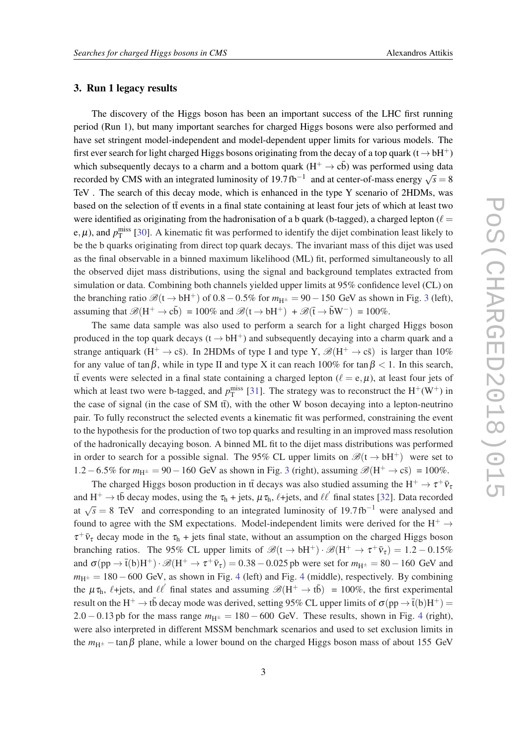#### 3. Run 1 legacy results

The discovery of the Higgs boson has been an important success of the LHC first running period (Run 1), but many important searches for charged Higgs bosons were also performed and have set stringent model-independent and model-dependent upper limits for various models. The first ever search for light charged Higgs bosons originating from the decay of a top quark (t  $\rightarrow$  bH<sup>+</sup>) which subsequently decays to a charm and a bottom quark  $(H^+ \rightarrow cb)$  was performed using data recorded by CMS with an integrated luminosity of  $19.7 \text{ fb}^{-1}$  and at center-of-mass energy  $\sqrt{s} = 8$ TeV . The search of this decay mode, which is enhanced in the type Y scenario of 2HDMs, was based on the selection of  $t\bar{t}$  events in a final state containing at least four jets of which at least two were identified as originating from the hadronisation of a b quark (b-tagged), a charged lepton ( $\ell =$ e,  $\mu$ ), and  $p_T^{\text{miss}}$  [[30\]](#page-8-0). A kinematic fit was performed to identify the dijet combination least likely to be the b quarks originating from direct top quark decays. The invariant mass of this dijet was used as the final observable in a binned maximum likelihood (ML) fit, performed simultaneously to all the observed dijet mass distributions, using the signal and background templates extracted from simulation or data. Combining both channels yielded upper limits at 95% confidence level (CL) on the branching ratio  $\mathcal{B}(t \to bH^+)$  of 0.8 – 0.5% for  $m_{H^{\pm}} = 90 - 150$  GeV as shown in Fig. [3](#page-4-0) (left), assuming that  $\mathscr{B}(H^+ \to c\bar{b}) = 100\%$  and  $\mathscr{B}(t \to bH^+) + \mathscr{B}(\bar{t} \to \bar{b}W^-) = 100\%$ .

The same data sample was also used to perform a search for a light charged Higgs boson produced in the top quark decays ( $t \rightarrow bH^+$ ) and subsequently decaying into a charm quark and a strange antiquark  $(H^+ \to c\bar{s})$ . In 2HDMs of type I and type Y,  $\mathscr{B}(H^+ \to c\bar{s})$  is larger than 10% for any value of tan $\beta$ , while in type II and type X it can reach 100% for tan  $\beta$  < 1. In this search, if events were selected in a final state containing a charged lepton ( $\ell = e, \mu$ ), at least four jets of which at least two were b-tagged, and  $p_T^{\text{miss}}$  [\[31](#page-8-0)]. The strategy was to reconstruct the  $H^+(W^+)$  in the case of signal (in the case of SM  $t\bar{t}$ ), with the other W boson decaying into a lepton-neutrino pair. To fully reconstruct the selected events a kinematic fit was performed, constraining the event to the hypothesis for the production of two top quarks and resulting in an improved mass resolution of the hadronically decaying boson. A binned ML fit to the dijet mass distributions was performed in order to search for a possible signal. The 95% CL upper limits on  $\mathscr{B}(t \to bH^+)$  were set to 1.2 – 6.5% for  $m_{H^{\pm}} = 90 - 160$  GeV as shown in Fig. [3](#page-4-0) (right), assuming  $\mathcal{B}(H^+ \to c\bar{s}) = 100\%$ .

The charged Higgs boson production in tt decays was also studied assuming the  $H^+ \to \tau^+ \bar{\nu}_t$ and  $H^+ \to t\bar{b}$  decay modes, using the  $\tau_h + jets$ ,  $\mu \tau_h$ ,  $\ell + jets$ , and  $\ell\ell'$  final states [[32](#page-9-0)]. Data recorded and  $\Delta t$   $\sqrt{s} = 8$  TeV and corresponding to an integrated luminosity of 19.7 fb<sup>-1</sup> were analysed and and  $\sqrt{s} = 8$  TeV and corresponding to an integrated luminosity of 19.7 fb<sup>-1</sup> were analysed and found to agree with the SM expectations. Model-independent limits were derived for the H<sup>+</sup>  $\rightarrow$  $\tau^+ \bar{\nu}_{\tau}$  decay mode in the  $\tau_h$  + jets final state, without an assumption on the charged Higgs boson branching ratios. The 95% CL upper limits of  $\mathscr{B}(\mathfrak{t} \to \mathfrak{b} H^+) \cdot \mathscr{B}(H^+ \to \tau^+ \bar{\nu}_{\tau}) = 1.2 - 0.15\%$ and  $\sigma(pp \to \bar{t}(b)H^+) \cdot \mathscr{B}(H^+ \to \tau^+\bar{v}_\tau) = 0.38 - 0.025$  pb were set for  $m_{H^{\pm}} = 80 - 160$  GeV and  $m_{H^{\pm}} = 180 - 600$  GeV, as shown in Fig. [4](#page-4-0) (left) and Fig. 4 (middle), respectively. By combining the  $\mu \tau_h$ ,  $\ell$ +jets, and  $\ell \ell'$  final states and assuming  $\mathscr{B}(H^+ \to t\bar{b}) = 100\%$ , the first experimental result on the H<sup>+</sup>  $\to$  tb decay mode was derived, setting 95% CL upper limits of  $\sigma(pp \to \bar t(b) H^+)$  = 2.0 − 0.13 pb for the mass range  $m_{\text{H}^{\pm}} = 180 - 600$  GeV. These results, shown in Fig. [4](#page-4-0) (right), were also interpreted in different MSSM benchmark scenarios and used to set exclusion limits in the  $m_{H^{\pm}}$  – tan  $\beta$  plane, while a lower bound on the charged Higgs boson mass of about 155 GeV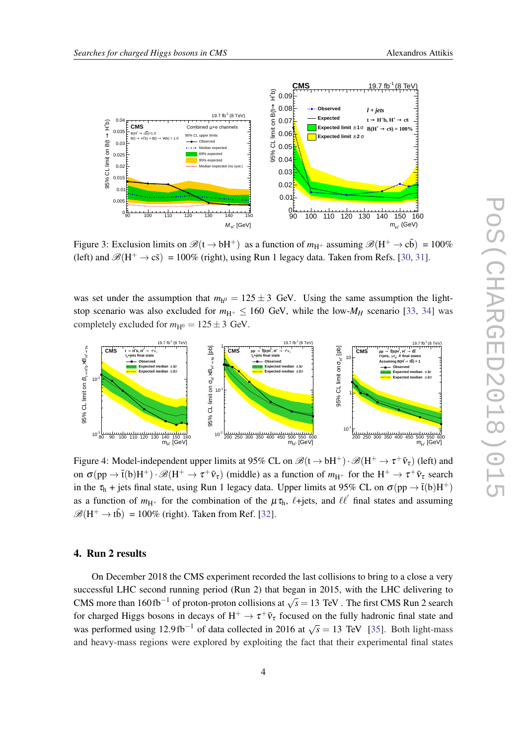

<span id="page-4-0"></span>

Figure 3: Exclusion limits on  $\mathscr{B}(t \to bH^+)$  as a function of  $m_{H^+}$  assuming  $\mathscr{B}(H^+ \to c\bar{b}) = 100\%$ (left) and  $\mathscr{B}(H^+ \to c\bar{s}) = 100\%$  (right), using Run 1 legacy data. Taken from Refs. [[30,](#page-8-0) [31](#page-8-0)].

was set under the assumption that  $m_{h^0} = 125 \pm 3$  GeV. Using the same assumption the lightstop scenario was also excluded for  $m_{\text{H}^+} \leq 160$  GeV, while the low- $M_H$  scenario [[33,](#page-9-0) [34](#page-9-0)] was completely excluded for  $m_{\text{H}^0} = 125 \pm 3$  GeV.



Figure 4: Model-independent upper limits at 95% CL on  $\mathscr{B}(t \to bH^+) \cdot \mathscr{B}(H^+ \to \tau^+ \bar{\nu}_{\tau})$  (left) and on  $\sigma(pp \to \bar{t}(b)H^+) \cdot \mathscr{B}(H^+ \to \tau^+\bar{\nu}_\tau)$  (middle) as a function of  $m_{H^+}$  for the  $H^+ \to \tau^+\bar{\nu}_\tau$  search in the  $\tau_h$  + jets final state, using Run 1 legacy data. Upper limits at 95% CL on  $\sigma(pp \to \bar{t}(b)H^+)$ as a function of  $m_{H^+}$  for the combination of the  $\mu \tau_h$ ,  $\ell + \text{jets}$ , and  $\ell \ell'$  final states and assuming  $\mathscr{B}(H^+ \to t\bar{b}) = 100\%$  (right). Taken from Ref. [\[32](#page-9-0)].

### 4. Run 2 results

On December 2018 the CMS experiment recorded the last collisions to bring to a close a very successful LHC second running period (Run 2) that began in 2015, with the LHC delivering to CMS more than  $160 \text{ fb}^{-1}$  of proton-proton collisions at  $\sqrt{s} = 13 \text{ TeV}$ . The first CMS Run 2 search for charged Higgs bosons in decays of  $H^+ \to \tau^+ \bar{\nu}_{\tau}$  focused on the fully hadronic final state and was performed using  $12.9 \text{ fb}^{-1}$  of data collected in 2016 at  $\sqrt{s} = 13$  TeV [\[35](#page-9-0)]. Both light-mass and heavy-mass regions were explored by exploiting the fact that their experimental final states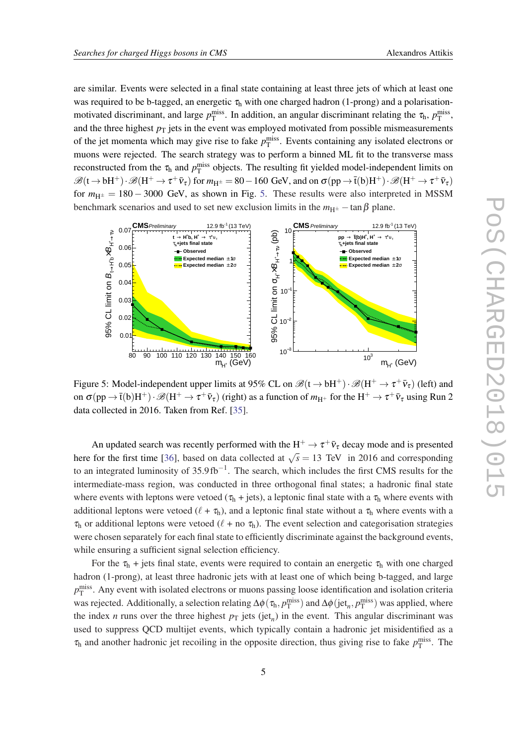are similar. Events were selected in a final state containing at least three jets of which at least one was required to be b-tagged, an energetic  $\tau<sub>h</sub>$  with one charged hadron (1-prong) and a polarisationmotivated discriminant, and large  $p_T^{\text{miss}}$ . In addition, an angular discriminant relating the  $\tau_h$ ,  $p_T^{\text{miss}}$ , and the three highest  $p<sub>T</sub>$  jets in the event was employed motivated from possible mismeasurements of the jet momenta which may give rise to fake  $p_T^{\text{miss}}$ . Events containing any isolated electrons or muons were rejected. The search strategy was to perform a binned ML fit to the transverse mass reconstructed from the  $\tau_h$  and  $p_T^{\text{miss}}$  objects. The resulting fit yielded model-independent limits on  $\mathscr{B}(\mathsf{t} \to \mathsf{b} \mathsf{H}^+) \cdot \mathscr{B}(\mathsf{H}^+ \to \tau^+ \bar{\mathsf{v}}_\tau)$  for  $m_{\mathsf{H}^\pm} = 80 - 160$  GeV, and on  $\sigma(\mathsf{pp} \to \bar{\mathsf{t}}(\mathsf{b}) \mathsf{H}^+) \cdot \mathscr{B}(\mathsf{H}^+ \to \tau^+ \bar{\mathsf{v}}_\tau)$ for  $m_{H^{\pm}} = 180 - 3000$  GeV, as shown in Fig. 5. These results were also interpreted in MSSM benchmark scenarios and used to set new exclusion limits in the  $m_{\text{H}^{\pm}} - \tan \beta$  plane.



Figure 5: Model-independent upper limits at 95% CL on  $\mathscr{B}(t \to bH^+) \cdot \mathscr{B}(H^+ \to \tau^+ \bar{\nu}_{\tau})$  (left) and on  $\sigma(pp\to \bar t(b)H^+)$  ·  $\mathscr{B}(H^+\to \tau^+\bar\nu_\tau)$  (right) as a function of  $m_{H^+}$  for the  $H^+\to \tau^+\bar\nu_\tau$  using Run 2 data collected in 2016. Taken from Ref. [\[35](#page-9-0)].

An updated search was recently performed with the  $H^+ \to \tau^+ \bar{\nu}_{\tau}$  decay mode and is presented here for the first time [[36\]](#page-9-0), based on data collected at  $\sqrt{s} = 13$  TeV in 2016 and corresponding to an integrated luminosity of 35.9fb<sup>-1</sup>. The search, which includes the first CMS results for the intermediate-mass region, was conducted in three orthogonal final states; a hadronic final state where events with leptons were vetoed ( $\tau_h$  + jets), a leptonic final state with a  $\tau_h$  where events with additional leptons were vetoed  $(\ell + \tau_h)$ , and a leptonic final state without a  $\tau_h$  where events with a  $\tau_h$  or additional leptons were vetoed ( $\ell$  + no  $\tau_h$ ). The event selection and categorisation strategies were chosen separately for each final state to efficiently discriminate against the background events, while ensuring a sufficient signal selection efficiency.

For the  $\tau_h$  + jets final state, events were required to contain an energetic  $\tau_h$  with one charged hadron (1-prong), at least three hadronic jets with at least one of which being b-tagged, and large *p* miss T . Any event with isolated electrons or muons passing loose identification and isolation criteria was rejected. Additionally, a selection relating  $\Delta\phi(\tau_h, p_T^{\text{miss}})$  and  $\Delta\phi(\text{jet}_n, p_T^{\text{miss}})$  was applied, where the index *n* runs over the three highest  $p_T$  jets (jet<sub>*n*</sub>) in the event. This angular discriminant was used to suppress QCD multijet events, which typically contain a hadronic jet misidentified as a  $\tau_h$  and another hadronic jet recoiling in the opposite direction, thus giving rise to fake  $p_T^{\text{miss}}$ . The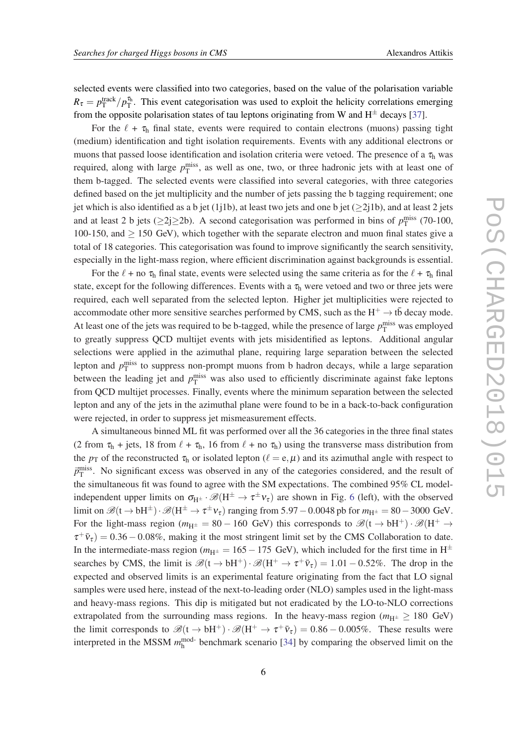selected events were classified into two categories, based on the value of the polarisation variable  $R_{\tau} = p_{\text{T}}^{\text{track}}/p_{\text{T}}^{\tau_{\text{h}}}$ . This event categorisation was used to exploit the helicity correlations emerging from the opposite polarisation states of tau leptons originating from W and  $H^{\pm}$  decays [[37\]](#page-9-0).

For the  $\ell + \tau_h$  final state, events were required to contain electrons (muons) passing tight (medium) identification and tight isolation requirements. Events with any additional electrons or muons that passed loose identification and isolation criteria were vetoed. The presence of a  $\tau<sub>h</sub>$  was required, along with large  $p_T^{\text{miss}}$ , as well as one, two, or three hadronic jets with at least one of them b-tagged. The selected events were classified into several categories, with three categories defined based on the jet multiplicity and the number of jets passing the b tagging requirement; one jet which is also identified as a b jet (1j1b), at least two jets and one b jet ( $\geq$ 2j1b), and at least 2 jets and at least 2 b jets ( $\geq$ 2j $\geq$ 2b). A second categorisation was performed in bins of  $p_T^{\text{miss}}$  (70-100,  $100-150$ , and  $\geq 150$  GeV), which together with the separate electron and muon final states give a total of 18 categories. This categorisation was found to improve significantly the search sensitivity, especially in the light-mass region, where efficient discrimination against backgrounds is essential.

For the  $\ell$  + no  $\tau_h$  final state, events were selected using the same criteria as for the  $\ell$  +  $\tau_h$  final state, except for the following differences. Events with a  $\tau<sub>h</sub>$  were vetoed and two or three jets were required, each well separated from the selected lepton. Higher jet multiplicities were rejected to accommodate other more sensitive searches performed by CMS, such as the  $H^+ \rightarrow t\bar{b}$  decay mode. At least one of the jets was required to be b-tagged, while the presence of large  $p_T^{\text{miss}}$  was employed to greatly suppress QCD multijet events with jets misidentified as leptons. Additional angular selections were applied in the azimuthal plane, requiring large separation between the selected lepton and  $p_T^{\text{miss}}$  to suppress non-prompt muons from b hadron decays, while a large separation between the leading jet and  $p_T^{\text{miss}}$  was also used to efficiently discriminate against fake leptons from QCD multijet processes. Finally, events where the minimum separation between the selected lepton and any of the jets in the azimuthal plane were found to be in a back-to-back configuration were rejected, in order to suppress jet mismeasurement effects.

A simultaneous binned ML fit was performed over all the 36 categories in the three final states (2 from  $\tau_h$  + jets, 18 from  $\ell$  +  $\tau_h$ , 16 from  $\ell$  + no  $\tau_h$ ) using the transverse mass distribution from the  $p_T$  of the reconstructed  $\tau_h$  or isolated lepton ( $\ell = e, \mu$ ) and its azimuthal angle with respect to  $\vec{p}_{\rm T}^{\rm miss}$ . No significant excess was observed in any of the categories considered, and the result of the simultaneous fit was found to agree with the SM expectations. The combined 95% CL modelindependent upper limits on  $\sigma_{H^{\pm}} \cdot \mathscr{B}(H^{\pm} \to \tau^{\pm} v_{\tau})$  are shown in Fig. [6](#page-7-0) (left), with the observed limit on  $\mathscr{B}(\mathfrak{t} \to \mathfrak{b} H^{\pm}) \cdot \mathscr{B}(H^{\pm} \to \tau^{\pm} \nu_{\tau})$  ranging from 5.97 – 0.0048 pb for  $m_{H^{\pm}} = 80 - 3000$  GeV. For the light-mass region ( $m_{H^{\pm}} = 80 - 160$  GeV) this corresponds to  $\mathscr{B}(t \to bH^{+}) \cdot \mathscr{B}(H^{+} \to$  $\tau^+ \bar{\nu}_{\tau}$  = 0.36 – 0.08%, making it the most stringent limit set by the CMS Collaboration to date. In the intermediate-mass region ( $m_{\text{H}^{\pm}} = 165 - 175$  GeV), which included for the first time in H<sup> $\pm$ </sup> searches by CMS, the limit is  $\mathscr{B}(t \to bH^+) \cdot \mathscr{B}(H^+ \to \tau^+\bar{\nu}_{\tau}) = 1.01 - 0.52\%$ . The drop in the expected and observed limits is an experimental feature originating from the fact that LO signal samples were used here, instead of the next-to-leading order (NLO) samples used in the light-mass and heavy-mass regions. This dip is mitigated but not eradicated by the LO-to-NLO corrections extrapolated from the surrounding mass regions. In the heavy-mass region  $(m_{H^{\pm}} > 180 \text{ GeV})$ the limit corresponds to  $\mathscr{B}(t \to bH^+) \cdot \mathscr{B}(H^+ \to \tau^+ \bar{\nu}_{\tau}) = 0.86 - 0.005\%$ . These results were interpreted in the MSSM  $m_h^{\text{mod-}}$  benchmark scenario [\[34\]](#page-9-0) by comparing the observed limit on the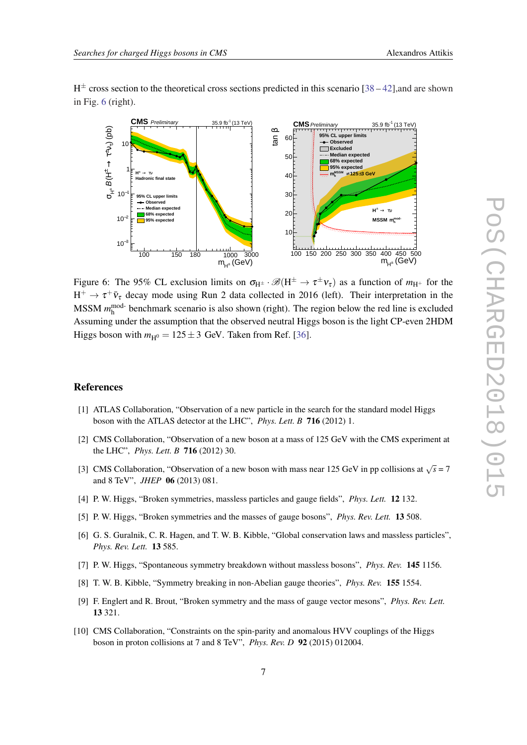<span id="page-7-0"></span> $H^{\pm}$  cross section to the theoretical cross sections predicted in this scenario [\[38](#page-9-0) – [42](#page-9-0)], and are shown in Fig. 6 (right).



Figure 6: The 95% CL exclusion limits on  $\sigma_{H^{\pm}} \cdot \mathscr{B}(H^{\pm} \to \tau^{\pm} \nu_{\tau})$  as a function of  $m_{H^+}$  for the  $H^+ \to \tau^+ \bar{\nu}_{\tau}$  decay mode using Run 2 data collected in 2016 (left). Their interpretation in the MSSM  $m_h^{\text{mod-}}$  benchmark scenario is also shown (right). The region below the red line is excluded Assuming under the assumption that the observed neutral Higgs boson is the light CP-even 2HDM Higgs boson with  $m_{\text{H}0} = 125 \pm 3$  GeV. Taken from Ref. [[36\]](#page-9-0).

#### References

- [1] ATLAS Collaboration, "Observation of a new particle in the search for the standard model Higgs boson with the ATLAS detector at the LHC", *Phys. Lett. B* 716 (2012) 1.
- [2] CMS Collaboration, "Observation of a new boson at a mass of 125 GeV with the CMS experiment at the LHC", *Phys. Lett. B* 716 (2012) 30.
- [3] CMS Collaboration, "Observation of a new boson with mass near 125 GeV in pp collisions at  $\sqrt{s} = 7$ and 8 TeV", *JHEP* 06 (2013) 081.
- [4] P. W. Higgs, "Broken symmetries, massless particles and gauge fields", *Phys. Lett.* 12 132.
- [5] P. W. Higgs, "Broken symmetries and the masses of gauge bosons", *Phys. Rev. Lett.* 13 508.
- [6] G. S. Guralnik, C. R. Hagen, and T. W. B. Kibble, "Global conservation laws and massless particles", *Phys. Rev. Lett.* 13 585.
- [7] P. W. Higgs, "Spontaneous symmetry breakdown without massless bosons", *Phys. Rev.* 145 1156.
- [8] T. W. B. Kibble, "Symmetry breaking in non-Abelian gauge theories", *Phys. Rev.* 155 1554.
- [9] F. Englert and R. Brout, "Broken symmetry and the mass of gauge vector mesons", *Phys. Rev. Lett.* 13 321.
- [10] CMS Collaboration, "Constraints on the spin-parity and anomalous HVV couplings of the Higgs boson in proton collisions at 7 and 8 TeV", *Phys. Rev. D* 92 (2015) 012004.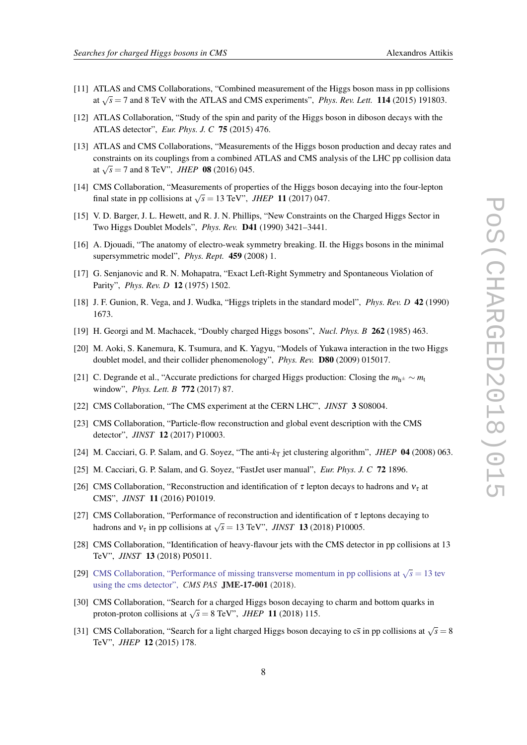- <span id="page-8-0"></span>[11] ATLAS and CMS Collaborations, "Combined measurement of the Higgs boson mass in pp collisions at  $\sqrt{s}$  = 7 and 8 TeV with the ATLAS and CMS experiments", *Phys. Rev. Lett.* **114** (2015) 191803.
- [12] ATLAS Collaboration, "Study of the spin and parity of the Higgs boson in diboson decays with the ATLAS detector", *Eur. Phys. J. C* 75 (2015) 476.
- [13] ATLAS and CMS Collaborations, "Measurements of the Higgs boson production and decay rates and constraints on its couplings from a combined ATLAS and CMS analysis of the LHC pp collision data at  $\sqrt{s}$  = 7 and 8 TeV", *JHEP* **08** (2016) 045.
- [14] CMS Collaboration, "Measurements of properties of the Higgs boson decaying into the four-lepton final state in pp collisions at  $\sqrt{s}$  = 13 TeV", *JHEP* 11 (2017) 047.
- [15] V. D. Barger, J. L. Hewett, and R. J. N. Phillips, "New Constraints on the Charged Higgs Sector in Two Higgs Doublet Models", *Phys. Rev.* D41 (1990) 3421–3441.
- [16] A. Djouadi, "The anatomy of electro-weak symmetry breaking. II. the Higgs bosons in the minimal supersymmetric model", *Phys. Rept.* 459 (2008) 1.
- [17] G. Senjanovic and R. N. Mohapatra, "Exact Left-Right Symmetry and Spontaneous Violation of Parity", *Phys. Rev. D* 12 (1975) 1502.
- [18] J. F. Gunion, R. Vega, and J. Wudka, "Higgs triplets in the standard model", *Phys. Rev. D* 42 (1990) 1673.
- [19] H. Georgi and M. Machacek, "Doubly charged Higgs bosons", *Nucl. Phys. B* 262 (1985) 463.
- [20] M. Aoki, S. Kanemura, K. Tsumura, and K. Yagyu, "Models of Yukawa interaction in the two Higgs doublet model, and their collider phenomenology", *Phys. Rev.* D80 (2009) 015017.
- [21] C. Degrande et al., "Accurate predictions for charged Higgs production: Closing the *m*h<sup>±</sup> ∼ *m*<sup>t</sup> window", *Phys. Lett. B* 772 (2017) 87.
- [22] CMS Collaboration, "The CMS experiment at the CERN LHC", *JINST* 3 S08004.
- [23] CMS Collaboration, "Particle-flow reconstruction and global event description with the CMS detector", *JINST* 12 (2017) P10003.
- [24] M. Cacciari, G. P. Salam, and G. Soyez, "The anti- $k<sub>T</sub>$  jet clustering algorithm", *JHEP* 04 (2008) 063.
- [25] M. Cacciari, G. P. Salam, and G. Soyez, "FastJet user manual", *Eur. Phys. J. C* 72 1896.
- [26] CMS Collaboration, "Reconstruction and identification of  $\tau$  lepton decays to hadrons and  $v_{\tau}$  at CMS", *JINST* 11 (2016) P01019.
- [27] CMS Collaboration, "Performance of reconstruction and identification of  $\tau$  leptons decaying to hadrons and  $v_{\tau}$  in pp collisions at  $\sqrt{s} = 13$  TeV", *JINST* 13 (2018) P10005.
- [28] CMS Collaboration, "Identification of heavy-flavour jets with the CMS detector in pp collisions at 13 TeV", *JINST* 13 (2018) P05011.
- [29] [CMS Collaboration, "Performance of missing transverse momentum in pp collisions at](http://cds.cern.ch/record/2628600)  $\sqrt{s} = 13$  tev [using the cms detector",](http://cds.cern.ch/record/2628600) *CMS PAS* JME-17-001 (2018).
- [30] CMS Collaboration, "Search for a charged Higgs boson decaying to charm and bottom quarks in proton-proton collisions at  $\sqrt{s} = 8$  TeV", *JHEP* 11 (2018) 115.
- [31] CMS Collaboration, "Search for a light charged Higgs boson decaying to  $c\bar{s}$  in pp collisions at  $\sqrt{s} = 8$ TeV", *JHEP* 12 (2015) 178.